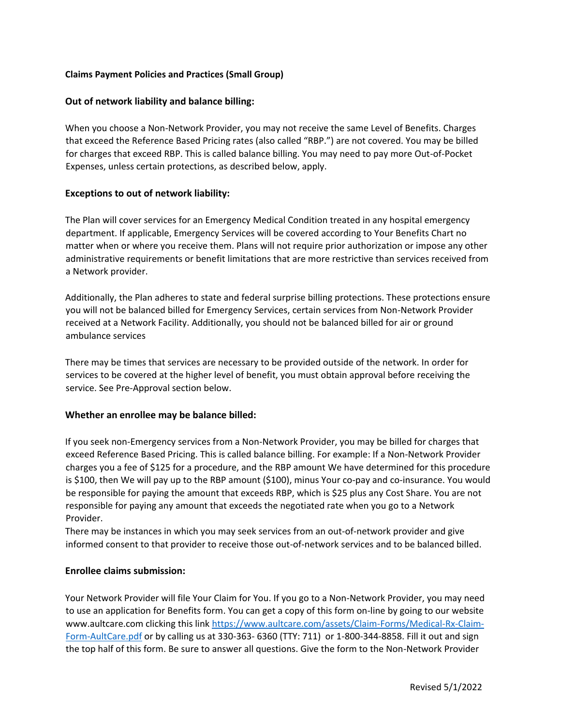# **Claims Payment Policies and Practices (Small Group)**

# **Out of network liability and balance billing:**

When you choose a Non-Network Provider, you may not receive the same Level of Benefits. Charges that exceed the Reference Based Pricing rates (also called "RBP.") are not covered. You may be billed for charges that exceed RBP. This is called balance billing. You may need to pay more Out-of-Pocket Expenses, unless certain protections, as described below, apply.

# **Exceptions to out of network liability:**

The Plan will cover services for an Emergency Medical Condition treated in any hospital emergency department. If applicable, Emergency Services will be covered according to Your Benefits Chart no matter when or where you receive them. Plans will not require prior authorization or impose any other administrative requirements or benefit limitations that are more restrictive than services received from a Network provider.

Additionally, the Plan adheres to state and federal surprise billing protections. These protections ensure you will not be balanced billed for Emergency Services, certain services from Non-Network Provider received at a Network Facility. Additionally, you should not be balanced billed for air or ground ambulance services

There may be times that services are necessary to be provided outside of the network. In order for services to be covered at the higher level of benefit, you must obtain approval before receiving the service. See Pre-Approval section below.

# **Whether an enrollee may be balance billed:**

If you seek non-Emergency services from a Non-Network Provider, you may be billed for charges that exceed Reference Based Pricing. This is called balance billing. For example: If a Non-Network Provider charges you a fee of \$125 for a procedure, and the RBP amount We have determined for this procedure is \$100, then We will pay up to the RBP amount (\$100), minus Your co-pay and co-insurance. You would be responsible for paying the amount that exceeds RBP, which is \$25 plus any Cost Share. You are not responsible for paying any amount that exceeds the negotiated rate when you go to a Network Provider.

There may be instances in which you may seek services from an out-of-network provider and give informed consent to that provider to receive those out-of-network services and to be balanced billed.

# **Enrollee claims submission:**

Your Network Provider will file Your Claim for You. If you go to a Non-Network Provider, you may need to use an application for Benefits form. You can get a copy of this form on-line by going to our website www.aultcare.com clicking this link [https://www.aultcare.com/assets/Claim-Forms/Medical-Rx-Claim-](https://www.aultcare.com/assets/Claim-Forms/Medical-Rx-Claim-Form-AultCare.pdf)[Form-AultCare.pdf](https://www.aultcare.com/assets/Claim-Forms/Medical-Rx-Claim-Form-AultCare.pdf) or by calling us at 330-363- 6360 (TTY: 711) or 1-800-344-8858. Fill it out and sign the top half of this form. Be sure to answer all questions. Give the form to the Non-Network Provider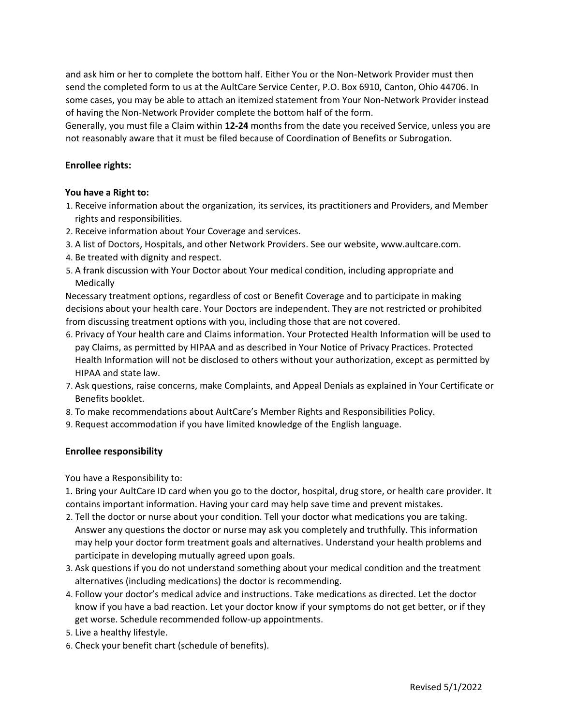and ask him or her to complete the bottom half. Either You or the Non-Network Provider must then send the completed form to us at the AultCare Service Center, P.O. Box 6910, Canton, Ohio 44706. In some cases, you may be able to attach an itemized statement from Your Non-Network Provider instead of having the Non-Network Provider complete the bottom half of the form.

Generally, you must file a Claim within **12-24** months from the date you received Service, unless you are not reasonably aware that it must be filed because of Coordination of Benefits or Subrogation.

# **Enrollee rights:**

#### **You have a Right to:**

- 1. Receive information about the organization, its services, its practitioners and Providers, and Member rights and responsibilities.
- 2. Receive information about Your Coverage and services.
- 3. A list of Doctors, Hospitals, and other Network Providers. See our website, www.aultcare.com.
- 4. Be treated with dignity and respect.
- 5. A frank discussion with Your Doctor about Your medical condition, including appropriate and **Medically**

Necessary treatment options, regardless of cost or Benefit Coverage and to participate in making decisions about your health care. Your Doctors are independent. They are not restricted or prohibited from discussing treatment options with you, including those that are not covered.

- 6. Privacy of Your health care and Claims information. Your Protected Health Information will be used to pay Claims, as permitted by HIPAA and as described in Your Notice of Privacy Practices. Protected Health Information will not be disclosed to others without your authorization, except as permitted by HIPAA and state law.
- 7. Ask questions, raise concerns, make Complaints, and Appeal Denials as explained in Your Certificate or Benefits booklet.
- 8. To make recommendations about AultCare's Member Rights and Responsibilities Policy.
- 9. Request accommodation if you have limited knowledge of the English language.

#### **Enrollee responsibility**

You have a Responsibility to:

1. Bring your AultCare ID card when you go to the doctor, hospital, drug store, or health care provider. It contains important information. Having your card may help save time and prevent mistakes.

- 2. Tell the doctor or nurse about your condition. Tell your doctor what medications you are taking. Answer any questions the doctor or nurse may ask you completely and truthfully. This information may help your doctor form treatment goals and alternatives. Understand your health problems and participate in developing mutually agreed upon goals.
- 3. Ask questions if you do not understand something about your medical condition and the treatment alternatives (including medications) the doctor is recommending.
- 4. Follow your doctor's medical advice and instructions. Take medications as directed. Let the doctor know if you have a bad reaction. Let your doctor know if your symptoms do not get better, or if they get worse. Schedule recommended follow-up appointments.
- 5. Live a healthy lifestyle.
- 6. Check your benefit chart (schedule of benefits).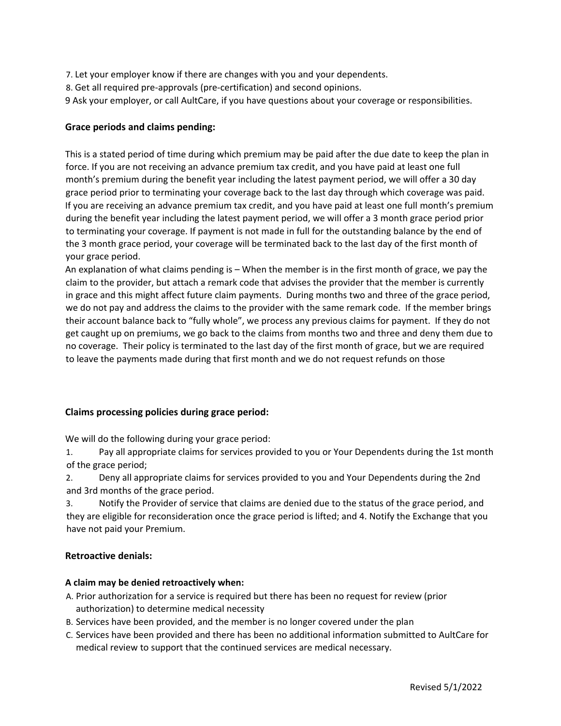- 7. Let your employer know if there are changes with you and your dependents.
- 8. Get all required pre-approvals (pre-certification) and second opinions.
- 9 Ask your employer, or call AultCare, if you have questions about your coverage or responsibilities.

# **Grace periods and claims pending:**

This is a stated period of time during which premium may be paid after the due date to keep the plan in force. If you are not receiving an advance premium tax credit, and you have paid at least one full month's premium during the benefit year including the latest payment period, we will offer a 30 day grace period prior to terminating your coverage back to the last day through which coverage was paid. If you are receiving an advance premium tax credit, and you have paid at least one full month's premium during the benefit year including the latest payment period, we will offer a 3 month grace period prior to terminating your coverage. If payment is not made in full for the outstanding balance by the end of the 3 month grace period, your coverage will be terminated back to the last day of the first month of your grace period.

An explanation of what claims pending is – When the member is in the first month of grace, we pay the claim to the provider, but attach a remark code that advises the provider that the member is currently in grace and this might affect future claim payments. During months two and three of the grace period, we do not pay and address the claims to the provider with the same remark code. If the member brings their account balance back to "fully whole", we process any previous claims for payment. If they do not get caught up on premiums, we go back to the claims from months two and three and deny them due to no coverage. Their policy is terminated to the last day of the first month of grace, but we are required to leave the payments made during that first month and we do not request refunds on those

# **Claims processing policies during grace period:**

We will do the following during your grace period:

1. Pay all appropriate claims for services provided to you or Your Dependents during the 1st month of the grace period;

2. Deny all appropriate claims for services provided to you and Your Dependents during the 2nd and 3rd months of the grace period.

3. Notify the Provider of service that claims are denied due to the status of the grace period, and they are eligible for reconsideration once the grace period is lifted; and 4. Notify the Exchange that you have not paid your Premium.

# **Retroactive denials:**

# **A claim may be denied retroactively when:**

- A. Prior authorization for a service is required but there has been no request for review (prior authorization) to determine medical necessity
- B. Services have been provided, and the member is no longer covered under the plan
- C. Services have been provided and there has been no additional information submitted to AultCare for medical review to support that the continued services are medical necessary.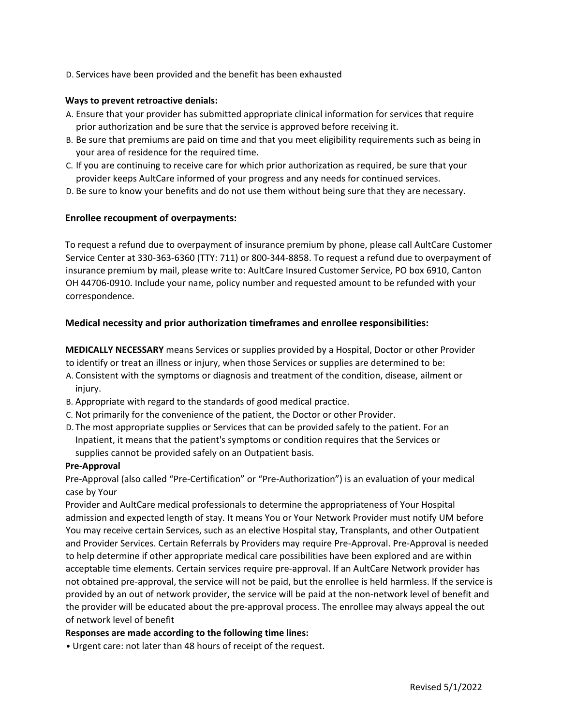D. Services have been provided and the benefit has been exhausted

### **Ways to prevent retroactive denials:**

- A. Ensure that your provider has submitted appropriate clinical information for services that require prior authorization and be sure that the service is approved before receiving it.
- B. Be sure that premiums are paid on time and that you meet eligibility requirements such as being in your area of residence for the required time.
- C. If you are continuing to receive care for which prior authorization as required, be sure that your provider keeps AultCare informed of your progress and any needs for continued services.
- D. Be sure to know your benefits and do not use them without being sure that they are necessary.

# **Enrollee recoupment of overpayments:**

To request a refund due to overpayment of insurance premium by phone, please call AultCare Customer Service Center at 330-363-6360 (TTY: 711) or 800-344-8858. To request a refund due to overpayment of insurance premium by mail, please write to: AultCare Insured Customer Service, PO box 6910, Canton OH 44706-0910. Include your name, policy number and requested amount to be refunded with your correspondence.

# **Medical necessity and prior authorization timeframes and enrollee responsibilities:**

**MEDICALLY NECESSARY** means Services or supplies provided by a Hospital, Doctor or other Provider to identify or treat an illness or injury, when those Services or supplies are determined to be:

- A. Consistent with the symptoms or diagnosis and treatment of the condition, disease, ailment or injury.
- B. Appropriate with regard to the standards of good medical practice.
- C. Not primarily for the convenience of the patient, the Doctor or other Provider.
- D. The most appropriate supplies or Services that can be provided safely to the patient. For an Inpatient, it means that the patient's symptoms or condition requires that the Services or supplies cannot be provided safely on an Outpatient basis.

# **Pre-Approval**

Pre-Approval (also called "Pre-Certification" or "Pre-Authorization") is an evaluation of your medical case by Your

Provider and AultCare medical professionals to determine the appropriateness of Your Hospital admission and expected length of stay. It means You or Your Network Provider must notify UM before You may receive certain Services, such as an elective Hospital stay, Transplants, and other Outpatient and Provider Services. Certain Referrals by Providers may require Pre-Approval. Pre-Approval is needed to help determine if other appropriate medical care possibilities have been explored and are within acceptable time elements. Certain services require pre-approval. If an AultCare Network provider has not obtained pre-approval, the service will not be paid, but the enrollee is held harmless. If the service is provided by an out of network provider, the service will be paid at the non-network level of benefit and the provider will be educated about the pre-approval process. The enrollee may always appeal the out of network level of benefit

# **Responses are made according to the following time lines:**

• Urgent care: not later than 48 hours of receipt of the request.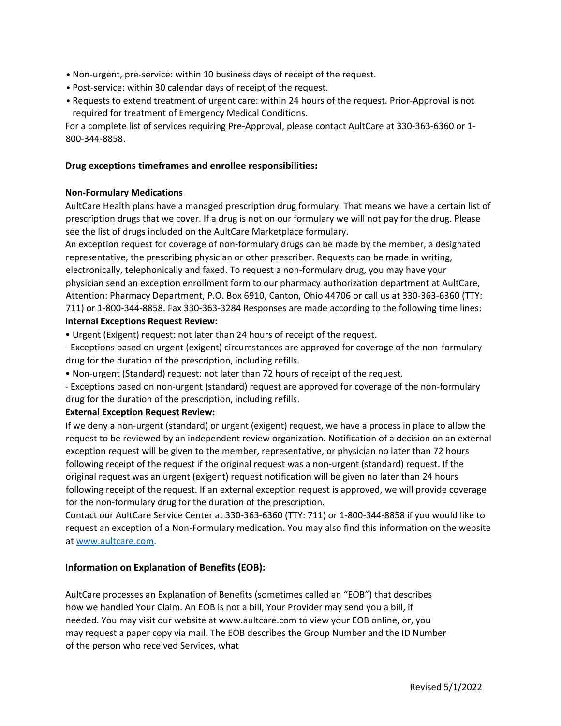- Non-urgent, pre-service: within 10 business days of receipt of the request.
- Post-service: within 30 calendar days of receipt of the request.
- Requests to extend treatment of urgent care: within 24 hours of the request. Prior-Approval is not required for treatment of Emergency Medical Conditions.

For a complete list of services requiring Pre-Approval, please contact AultCare at 330-363-6360 or 1- 800-344-8858.

# **Drug exceptions timeframes and enrollee responsibilities:**

# **Non-Formulary Medications**

AultCare Health plans have a managed prescription drug formulary. That means we have a certain list of prescription drugs that we cover. If a drug is not on our formulary we will not pay for the drug. Please see the list of drugs included on the AultCare Marketplace formulary.

An exception request for coverage of non-formulary drugs can be made by the member, a designated representative, the prescribing physician or other prescriber. Requests can be made in writing, electronically, telephonically and faxed. To request a non-formulary drug, you may have your physician send an exception enrollment form to our pharmacy authorization department at AultCare, Attention: Pharmacy Department, P.O. Box 6910, Canton, Ohio 44706 or call us at 330-363-6360 (TTY: 711) or 1-800-344-8858. Fax 330-363-3284 Responses are made according to the following time lines: **Internal Exceptions Request Review:** 

• Urgent (Exigent) request: not later than 24 hours of receipt of the request.

- Exceptions based on urgent (exigent) circumstances are approved for coverage of the non-formulary drug for the duration of the prescription, including refills.

• Non-urgent (Standard) request: not later than 72 hours of receipt of the request.

- Exceptions based on non-urgent (standard) request are approved for coverage of the non-formulary drug for the duration of the prescription, including refills.

# **External Exception Request Review:**

If we deny a non-urgent (standard) or urgent (exigent) request, we have a process in place to allow the request to be reviewed by an independent review organization. Notification of a decision on an external exception request will be given to the member, representative, or physician no later than 72 hours following receipt of the request if the original request was a non-urgent (standard) request. If the original request was an urgent (exigent) request notification will be given no later than 24 hours following receipt of the request. If an external exception request is approved, we will provide coverage for the non-formulary drug for the duration of the prescription.

Contact our AultCare Service Center at 330-363-6360 (TTY: 711) or 1-800-344-8858 if you would like to request an exception of a Non-Formulary medication. You may also find this information on the website [at www.aultcare.com.](http://www.aultcare.com/)

# **Information on Explanation of Benefits (EOB):**

AultCare processes an Explanation of Benefits (sometimes called an "EOB") that describes how we handled Your Claim. An EOB is not a bill, Your Provider may send you a bill, if needed. You may visit our website at www.aultcare.com to view your EOB online, or, you may request a paper copy via mail. The EOB describes the Group Number and the ID Number of the person who received Services, what